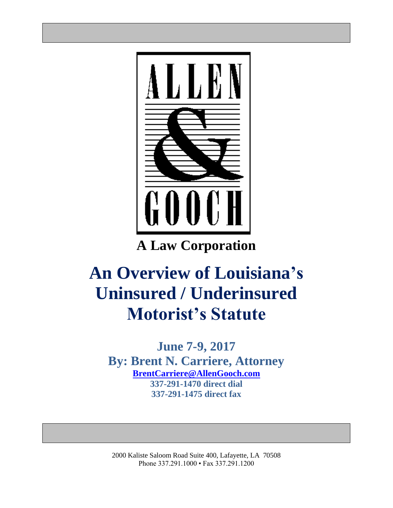

**A Law Corporation**

# **An Overview of Louisiana's Uninsured / Underinsured Motorist's Statute**

**June 7-9, 2017 By: Brent N. Carriere, Attorney [BrentCarriere@AllenGooch.com](mailto:BrentCarriere@AllenGooch.com) 337-291-1470 direct dial 337-291-1475 direct fax**

2000 Kaliste Saloom Road Suite 400, Lafayette, LA 70508 Phone 337.291.1000 • Fax 337.291.1200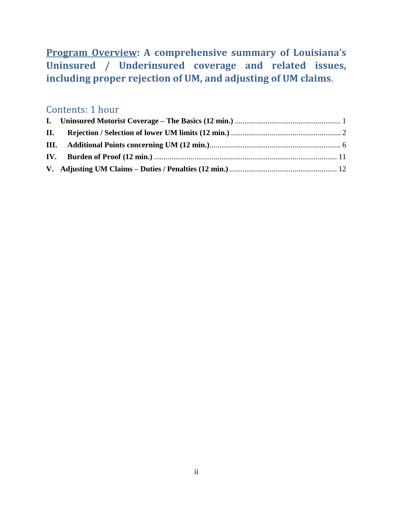### **Program Overview: A comprehensive summary of Louisiana's Uninsured / Underinsured coverage and related issues, including proper rejection of UM, and adjusting of UM claims**.

### Contents: 1 hour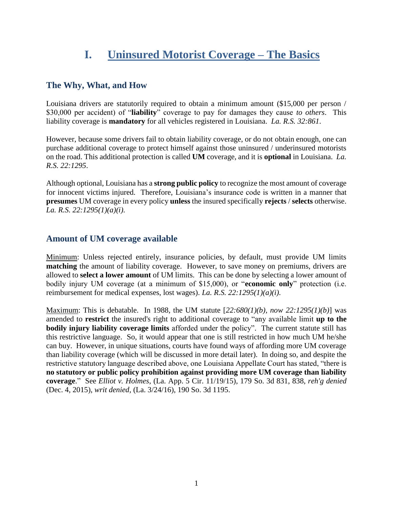### **I. Uninsured Motorist Coverage – The Basics**

#### <span id="page-2-0"></span>**The Why, What, and How**

Louisiana drivers are statutorily required to obtain a minimum amount (\$15,000 per person / \$30,000 per accident) of "**liability**" coverage to pay for damages they cause *to others*. This liability coverage is **mandatory** for all vehicles registered in Louisiana. *La. R.S. 32:861*.

However, because some drivers fail to obtain liability coverage, or do not obtain enough, one can purchase additional coverage to protect himself against those uninsured / underinsured motorists on the road. This additional protection is called **UM** coverage, and it is **optional** in Louisiana. *La. R.S. 22:1295*.

Although optional, Louisiana has a **strong public policy** to recognize the most amount of coverage for innocent victims injured. Therefore, Louisiana's insurance code is written in a manner that **presumes** UM coverage in every policy **unless** the insured specifically **rejects** / **selects** otherwise. *La. R.S. 22:1295(1)(a)(i).*

#### **Amount of UM coverage available**

Minimum: Unless rejected entirely, insurance policies, by default, must provide UM limits **matching** the amount of liability coverage. However, to save money on premiums, drivers are allowed to **select a lower amount** of UM limits. This can be done by selecting a lower amount of bodily injury UM coverage (at a minimum of \$15,000), or "**economic only**" protection (i.e. reimbursement for medical expenses, lost wages). *La. R.S. 22:1295(1)(a)(i).*

Maximum: This is debatable. In 1988, the UM statute [*22:680(1)(b), now 22:1295(1)(b)*] was amended to **restrict** the insured's right to additional coverage to "any available limit **up to the bodily injury liability coverage limits** afforded under the policy". The current statute still has this restrictive language. So, it would appear that one is still restricted in how much UM he/she can buy. However, in unique situations, courts have found ways of affording more UM coverage than liability coverage (which will be discussed in more detail later). In doing so, and despite the restrictive statutory language described above, one Louisiana Appellate Court has stated, "there is **no statutory or public policy prohibition against providing more UM coverage than liability coverage**." See *Elliot v. Holmes*, (La. App. 5 Cir. 11/19/15), 179 So. 3d 831, 838, *reh'g denied* (Dec. 4, 2015), *writ denied,* (La. 3/24/16), 190 So. 3d 1195.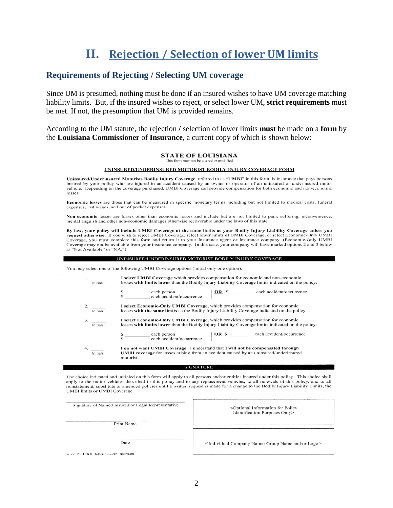## **II. Rejection / Selection of lower UM limits**

#### <span id="page-3-0"></span>**Requirements of Rejecting / Selecting UM coverage**

Since UM is presumed, nothing must be done if an insured wishes to have UM coverage matching liability limits. But, if the insured wishes to reject, or select lower UM, **strict requirements** must be met. If not, the presumption that UM is provided remains.

According to the UM statute, the rejection **/** selection of lower limits **must** be made on a **form** by the **Louisiana Commissioner** of **Insurance**, a current copy of which is shown below:

#### **STATE OF LOUISIANA** This form may not be altered or modified

#### UNINSURED/UNDERINSURED MOTORIST BODILY INJURY COVERAGE FORM

Uninsured/Underinsured Motorists Bodily Injury Coverage, referred to as "UMBI" in this form, is insurance that pays persons insured by your policy who are injured in an accident caused by an owner or operator of an uninsured or underinsured motor vehicle. Depending on the coverage purchased, UMBI Coverage can provide compensation for both economic and non-economic losses.

Economic losses are those that can be measured in specific monetary terms including but not limited to medical costs, funeral expenses, lost wages, and out of pocket expenses.

Non-economic losses are losses other than economic losses and include but are not limited to pain, suffering, inconvenience, mental anguish and other non-economic damages otherwise recoverable under the laws of this state.

By law, your policy will include UMBI Coverage at the same limits as your Bodily Injury Liability Coverage unless you request otherwise. If you wish to reject UMBI Coverage, select lower limits of UMBI Coverage, or select Economic-Only UMBI Coverage, you must complete this form and return it to your insurance agent or insurance company. (Economic-Only UMBI Coverage may not be available from your insurance company. In this case, your company will have marked options 2 and 3 below as "Not Available" or "NA.")

#### UNINSURED/UNDERINSURED MOTORIST BODILY INJURY COVERAGE

You may select one of the following UMBI Coverage options (initial only one option):

| Initials       | I select UMBI Coverage which provides compensation for economic and non-economic<br>losses with limits lower than the Bodily Injury Liability Coverage limits indicated on the policy:       |  |  |  |  |  |
|----------------|----------------------------------------------------------------------------------------------------------------------------------------------------------------------------------------------|--|--|--|--|--|
|                | <b>OR</b> \$ each accident/occurrence<br>\$ ___________ each person<br>\$                                                                                                                    |  |  |  |  |  |
| Initials       | I select Economic-Only UMBI Coverage, which provides compensation for economic<br>losses with the same limits as the Bodily Injury Liability Coverage indicated on the policy.               |  |  |  |  |  |
| 3.<br>Initials | I select Economic-Only UMBI Coverage, which provides compensation for economic<br>losses with limits lower than the Bodily Injury Liability Coverage limits indicated on the policy:         |  |  |  |  |  |
|                | <b>OR</b> \$ each accident/occurrence<br>$\frac{\text{g}}{\text{g}}$ = each person<br>each accident/occurrence                                                                               |  |  |  |  |  |
| Initials       | I do not want UMBI Coverage. I understand that I will not be compensated through<br><b>UMBI</b> coverage for losses arising from an accident caused by an uninsured/underinsured<br>motorist |  |  |  |  |  |

#### **SIGNATURE**

The choice indicated and initialed on this form will apply to all persons and/or entities insured under this policy. This choice shall apply to the motor vehicles described in this policy and to any replacement vehicles, to all renewals of this policy, and to all reinstatement, substitute or amended policies until a written request is made for a change to the Bodily Injury Liability Limits, the UMBI limits or UMBI Coverage.

| Signature of Named Insured or Legal Representative |  |  |
|----------------------------------------------------|--|--|
|                                                    |  |  |
|                                                    |  |  |
|                                                    |  |  |
|                                                    |  |  |

Print Name

<Optional Information for Policy Identification Purposes Only>

Date

<Individual Company Name; Group Name and/or Logo>

Issued Per I DOI Bulletin 08-02 08/29/08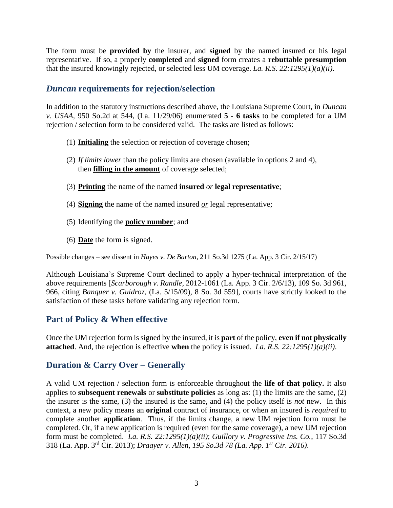The form must be **provided by** the insurer, and **signed** by the named insured or his legal representative. If so, a properly **completed** and **signed** form creates a **rebuttable presumption** that the insured knowingly rejected, or selected less UM coverage. *La. R.S. 22:1295(1)(a)(ii)*.

#### *Duncan* **requirements for rejection/selection**

In addition to the statutory instructions described above, the Louisiana Supreme Court, in *Duncan v. USAA,* 950 So.2d at 544, (La. 11/29/06) enumerated **5 - 6 tasks** to be completed for a UM rejection / selection form to be considered valid. The tasks are listed as follows:

- (1) **Initialing** the selection or rejection of coverage chosen;
- (2) *If limits lower* than the policy limits are chosen (available in options 2 and 4), then **filling in the amount** of coverage selected;
- (3) **Printing** the name of the named **insured** *or* **legal representative**;
- (4) **Signing** the name of the named insured *or* legal representative;
- (5) Identifying the **policy number**; and
- (6) **Date** the form is signed.

Possible changes – see dissent in *Hayes v. De Barton*, 211 So.3d 1275 (La. App. 3 Cir. 2/15/17)

Although Louisiana's Supreme Court declined to apply a hyper-technical interpretation of the above requirements [*Scarborough v. Randle*, 2012-1061 (La. App. 3 Cir. 2/6/13), 109 So. 3d 961, 966, citing *Banquer v. Guidroz*, (La. 5/15/09), 8 So. 3d 559], courts have strictly looked to the satisfaction of these tasks before validating any rejection form.

#### **Part of Policy & When effective**

Once the UM rejection form is signed by the insured, it is **part** of the policy, **even if not physically attached**. And, the rejection is effective **when** the policy is issued. *La. R.S. 22:1295(1)(a)(ii)*.

### **Duration & Carry Over – Generally**

A valid UM rejection / selection form is enforceable throughout the **life of that policy.** It also applies to **subsequent renewals** or **substitute policies** as long as: (1) the limits are the same, (2) the insurer is the same, (3) the insured is the same, and (4) the policy itself is *not* new. In this context, a new policy means an **original** contract of insurance, or when an insured is *required* to complete another **application**. Thus, if the limits change, a new UM rejection form must be completed. Or, if a new application is required (even for the same coverage), a new UM rejection form must be completed. *La. R.S. 22:1295(1)(a)(ii)*; *Guillory v. Progressive Ins. Co.*, 117 So.3d 318 (La. App. 3rd Cir. 2013); *Draayer v. Allen, 195 So.3d 78 (La. App. 1st Cir. 2016)*.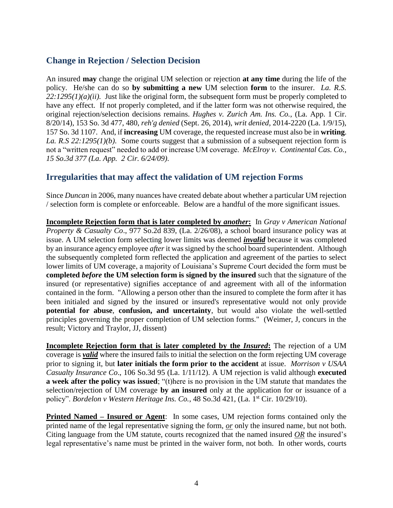#### **Change in Rejection / Selection Decision**

An insured **may** change the original UM selection or rejection **at any time** during the life of the policy. He/she can do so **by submitting a new** UM selection **form** to the insurer. *La. R.S.*   $22:1295(1)(a)(ii)$ . Just like the original form, the subsequent form must be properly completed to have any effect. If not properly completed, and if the latter form was not otherwise required, the original rejection/selection decisions remains. *Hughes v. Zurich Am. Ins. Co.*, (La. App. 1 Cir. 8/20/14), 153 So. 3d 477, 480, *reh'g denied* (Sept. 26, 2014), *writ denied,* 2014-2220 (La. 1/9/15), 157 So. 3d 1107. And, if **increasing** UM coverage, the requested increase must also be in **writing**. *La. R.S 22:1295(1)(b)*. Some courts suggest that a submission of a subsequent rejection form is not a "written request" needed to add or increase UM coverage. *McElroy v. Continental Cas. Co., 15 So.3d 377 (La. App. 2 Cir. 6/24/09)*.

#### **Irregularities that may affect the validation of UM rejection Forms**

Since *Duncan* in 2006, many nuances have created debate about whether a particular UM rejection / selection form is complete or enforceable. Below are a handful of the more significant issues.

**Incomplete Rejection form that is later completed by** *another***:** In *Gray v American National Property & Casualty Co*., 977 So.2d 839, (La. 2/26/08), a school board insurance policy was at issue. A UM selection form selecting lower limits was deemed *invalid* because it was completed by an insurance agency employee *after*it was signed by the school board superintendent. Although the subsequently completed form reflected the application and agreement of the parties to select lower limits of UM coverage, a majority of Louisiana's Supreme Court decided the form must be **completed** *before* **the UM selection form is signed by the insured** such that the signature of the insured (or representative) signifies acceptance of and agreement with all of the information contained in the form. "Allowing a person other than the insured to complete the form after it has been initialed and signed by the insured or insured's representative would not only provide **potential for abuse**, **confusion, and uncertainty**, but would also violate the well-settled principles governing the proper completion of UM selection forms." (Weimer, J, concurs in the result; Victory and Traylor, JJ, dissent)

**Incomplete Rejection form that is later completed by the** *Insured***:** The rejection of a UM coverage is *valid* where the insured fails to initial the selection on the form rejecting UM coverage prior to signing it, but **later initials the form prior to the accident** at issue. *Morrison v USAA Casualty Insurance Co*., 106 So.3d 95 (La. 1/11/12). A UM rejection is valid although **executed a week after the policy was issued**; "(t)here is no provision in the UM statute that mandates the selection/rejection of UM coverage **by an insured** only at the application for or issuance of a policy". *Bordelon v Western Heritage Ins. Co.*, 48 So.3d 421, (La. 1<sup>st</sup> Cir. 10/29/10).

**Printed Named – Insured or Agent**: In some cases, UM rejection forms contained only the printed name of the legal representative signing the form, *or* only the insured name, but not both. Citing language from the UM statute, courts recognized that the named insured *OR* the insured's legal representative's name must be printed in the waiver form, not both. In other words, courts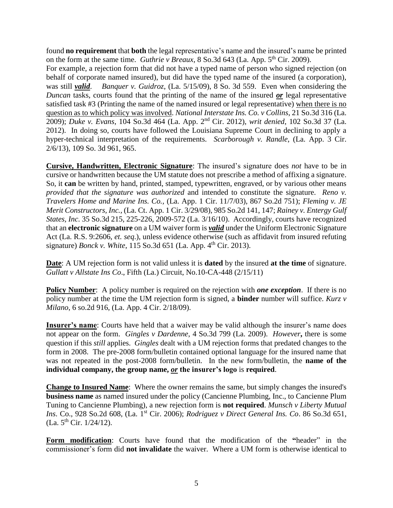found **no requirement** that **both** the legal representative's name and the insured's name be printed on the form at the same time. *Guthrie v Breaux*,  $8$  So.3d  $643$  (La. App.  $5<sup>th</sup>$  Cir. 2009).

For example, a rejection form that did not have a typed name of person who signed rejection (on behalf of corporate named insured), but did have the typed name of the insured (a corporation), was still *valid*. *Banquer v. Guidroz*, (La. 5/15/09), 8 So. 3d 559. Even when considering the *Duncan* tasks, courts found that the printing of the name of the insured *or* legal representative satisfied task #3 (Printing the name of the named insured or legal representative) when there is no question as to which policy was involved. *National Interstate Ins. Co. v Collins*, 21 So.3d 316 (La. 2009); *Duke v. Evans*, 104 So.3d 464 (La. App. 2nd Cir. 2012), *writ denied*, 102 So.3d 37 (La. 2012). In doing so, courts have followed the Louisiana Supreme Court in declining to apply a hyper-technical interpretation of the requirements. *Scarborough v. Randle*, (La. App. 3 Cir. 2/6/13), 109 So. 3d 961, 965.

**Cursive, Handwritten, Electronic Signature**: The insured's signature does *not* have to be in cursive or handwritten because the UM statute does not prescribe a method of affixing a signature. So, it **can** be written by hand, printed, stamped, typewritten, engraved, or by various other means *provided that the signature was authorized* and intended to constitute the signature. *Reno v. Travelers Home and Marine Ins. Co.,* (La. App. 1 Cir. 11/7/03), 867 So.2d 751); *Fleming v. JE Merit Constructors, Inc.,* (La. Ct. App. 1 Cir. 3/29/08), 985 So.2d 141, 147; *Rainey v. Entergy Gulf States, Inc*. 35 So.3d 215, 225-226, 2009-572 (La. 3/16/10). Accordingly, courts have recognized that an **electronic signature** on a UM waiver form is *valid* under the Uniform Electronic Signature Act (La. R.S. 9:2606, *et. seq*.), unless evidence otherwise (such as affidavit from insured refuting signature) *Bonck v. White*, 115 So.3d 651 (La. App. 4<sup>th</sup> Cir. 2013).

**Date**: A UM rejection form is not valid unless it is **dated** by the insured **at the time** of signature. *Gullatt v Allstate Ins Co*., Fifth (La.) Circuit, No.10-CA-448 (2/15/11)

**Policy Number**: A policy number is required on the rejection with *one exception*. If there is no policy number at the time the UM rejection form is signed, a **binder** number will suffice. *Kurz v Milano*, 6 so.2d 916, (La. App. 4 Cir. 2/18/09).

**Insurer's name**: Courts have held that a waiver may be valid although the insurer's name does not appear on the form. *Gingles v Dardenne*, 4 So.3d 799 (La. 2009). *However***,** there is some question if this *still* applies. *Gingles* dealt with a UM rejection forms that predated changes to the form in 2008. The pre-2008 form/bulletin contained optional language for the insured name that was not repeated in the post-2008 form/bulletin. In the new form/bulletin, the **name of the individual company, the group name,** *or* **the insurer's logo** is **required**.

**Change to Insured Name**: Where the owner remains the same, but simply changes the insured's **business name** as named insured under the policy (Cancienne Plumbing, Inc., to Cancienne Plum Tuning to Cancienne Plumbing), a new rejection form is **not required**. *Munsch v Liberty Mutual Ins.* Co., 928 So.2d 608, (La. 1<sup>st</sup> Cir. 2006); *Rodriguez v Direct General Ins. Co.* 86 So.3d 651,  $(La. 5<sup>th</sup> Cir. 1/24/12).$ 

**Form modification**: Courts have found that the modification of the **"**header" in the commissioner's form did **not invalidate** the waiver. Where a UM form is otherwise identical to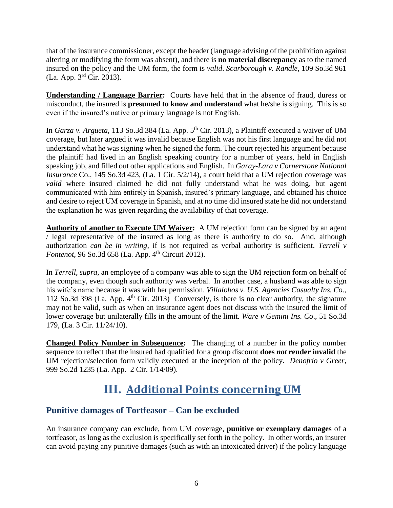that of the insurance commissioner, except the header (language advising of the prohibition against altering or modifying the form was absent), and there is **no material discrepancy** as to the named insured on the policy and the UM form, the form is *valid*. *Scarborough v. Randle,* 109 So.3d 961 (La. App. 3rd Cir. 2013).

**Understanding / Language Barrier:** Courts have held that in the absence of fraud, duress or misconduct, the insured is **presumed to know and understand** what he/she is signing. This is so even if the insured's native or primary language is not English.

In *Garza v. Argueta*, 113 So.3d 384 (La. App. 5<sup>th</sup> Cir. 2013), a Plaintiff executed a waiver of UM coverage, but later argued it was invalid because English was not his first language and he did not understand what he was signing when he signed the form. The court rejected his argument because the plaintiff had lived in an English speaking country for a number of years, held in English speaking job, and filled out other applications and English. In *Garay-Lara v Cornerstone National Insurance* Co., 145 So.3d 423, (La. 1 Cir. 5/2/14), a court held that a UM rejection coverage was *valid* where insured claimed he did not fully understand what he was doing, but agent communicated with him entirely in Spanish, insured's primary language, and obtained his choice and desire to reject UM coverage in Spanish, and at no time did insured state he did not understand the explanation he was given regarding the availability of that coverage.

**Authority of another to Execute UM Waiver:** A UM rejection form can be signed by an agent / legal representative of the insured as long as there is authority to do so. And, although authorization *can be in writing*, if is not required as verbal authority is sufficient. *Terrell v Fontenot*, 96 So.3d 658 (La. App. 4<sup>th</sup> Circuit 2012).

In *Terrell, supra,* an employee of a company was able to sign the UM rejection form on behalf of the company, even though such authority was verbal. In another case, a husband was able to sign his wife's name because it was with her permission. *Villalobos v. U.S. Agencies Casualty Ins. Co.*, 112 So.3d 398 (La. App.  $4<sup>th</sup>$  Cir. 2013) Conversely, is there is no clear authority, the signature may not be valid, such as when an insurance agent does not discuss with the insured the limit of lower coverage but unilaterally fills in the amount of the limit. *Ware v Gemini Ins. Co*., 51 So.3d 179, (La. 3 Cir. 11/24/10).

**Changed Policy Number in Subsequence:** The changing of a number in the policy number sequence to reflect that the insured had qualified for a group discount **does** *not* **render invalid** the UM rejection/selection form validly executed at the inception of the policy. *Denofrio v Greer*, 999 So.2d 1235 (La. App. 2 Cir. 1/14/09).

## **III. Additional Points concerning UM**

### <span id="page-7-0"></span>**Punitive damages of Tortfeasor – Can be excluded**

An insurance company can exclude, from UM coverage, **punitive or exemplary damages** of a tortfeasor, as long as the exclusion is specifically set forth in the policy. In other words, an insurer can avoid paying any punitive damages (such as with an intoxicated driver) if the policy language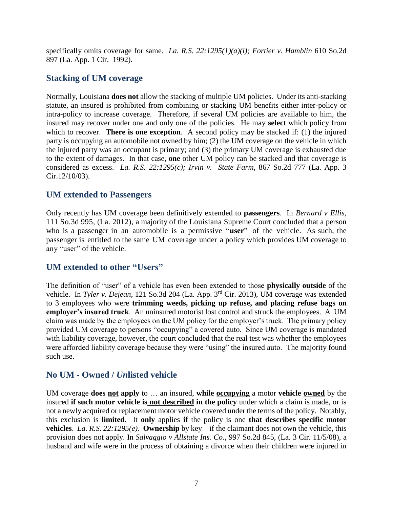specifically omits coverage for same. *La. R.S. 22:1295(1)(a)(i); Fortier v. Hamblin* 610 So.2d 897 (La. App. 1 Cir. 1992).

#### **Stacking of UM coverage**

Normally, Louisiana **does not** allow the stacking of multiple UM policies. Under its anti-stacking statute, an insured is prohibited from combining or stacking UM benefits either inter-policy or intra-policy to increase coverage. Therefore, if several UM policies are available to him, the insured may recover under one and only one of the policies. He may **select** which policy from which to recover. **There is one exception**. A second policy may be stacked if: (1) the injured party is occupying an automobile not owned by him; (2) the UM coverage on the vehicle in which the injured party was an occupant is primary; and (3) the primary UM coverage is exhausted due to the extent of damages. In that case, **one** other UM policy can be stacked and that coverage is considered as excess. *La. R.S. 22:1295(c); Irvin v. State Farm*, 867 So.2d 777 (La. App. 3 Cir.12/10/03).

#### **UM extended to Passengers**

Only recently has UM coverage been definitively extended to **passengers**. In *Bernard v Ellis*, 111 So.3d 995, (La. 2012), a majority of the Louisiana Supreme Court concluded that a person who is a passenger in an automobile is a permissive "**user**" of the vehicle. As such, the passenger is entitled to the same UM coverage under a policy which provides UM coverage to any "user" of the vehicle.

#### **UM extended to other "Users"**

The definition of "user" of a vehicle has even been extended to those **physically outside** of the vehicle. In *Tyler v. Dejean*, 121 So.3d 204 (La. App. 3rd Cir. 2013), UM coverage was extended to 3 employees who were **trimming weeds, picking up refuse, and placing refuse bags on employer's insured truck**. An uninsured motorist lost control and struck the employees. A UM claim was made by the employees on the UM policy for the employer's truck. The primary policy provided UM coverage to persons "occupying" a covered auto. Since UM coverage is mandated with liability coverage, however, the court concluded that the real test was whether the employees were afforded liability coverage because they were "using" the insured auto. The majority found such use.

#### **No UM - Owned /** *Un***listed vehicle**

UM coverage **does not apply** to … an insured, **while occupying** a motor **vehicle owned** by the insured **if such motor vehicle is not described in the policy** under which a claim is made, or is not a newly acquired or replacement motor vehicle covered under the terms of the policy. Notably, this exclusion is **limited**. It **only** applies **if** the policy is one **that describes specific motor vehicles**. *La. R.S. 22:1295(e).* **Ownership** by key – if the claimant does not own the vehicle, this provision does not apply. In *Salvaggio v Allstate Ins. Co.*, 997 So.2d 845, (La. 3 Cir. 11/5/08), a husband and wife were in the process of obtaining a divorce when their children were injured in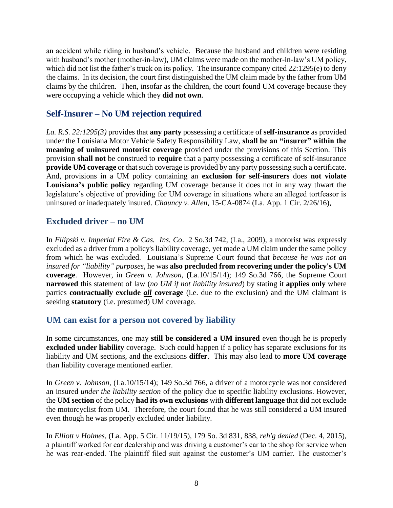an accident while riding in husband's vehicle. Because the husband and children were residing with husband's mother (mother-in-law), UM claims were made on the mother-in-law's UM policy, which did not list the father's truck on its policy. The insurance company cited 22:1295(e) to deny the claims. In its decision, the court first distinguished the UM claim made by the father from UM claims by the children. Then, insofar as the children, the court found UM coverage because they were occupying a vehicle which they **did not own**.

#### **Self-Insurer – No UM rejection required**

*La. R.S. 22:1295(3)* provides that **any party** possessing a certificate of **self-insurance** as provided under the Louisiana Motor Vehicle Safety Responsibility Law, **shall be an "insurer" within the meaning of uninsured motorist coverage** provided under the provisions of this Section. This provision **shall not** be construed to **require** that a party possessing a certificate of self-insurance **provide UM coverage** or that such coverage is provided by any party possessing such a certificate. And, provisions in a UM policy containing an **exclusion for self-insurers** does **not violate Louisiana's public policy** regarding UM coverage because it does not in any way thwart the legislature's objective of providing for UM coverage in situations where an alleged tortfeasor is uninsured or inadequately insured. *Chauncy v. Allen*, 15-CA-0874 (La. App. 1 Cir. 2/26/16),

#### **Excluded driver – no UM**

In *Filipski v. Imperial Fire & Cas. Ins. Co*. 2 So.3d 742, (La., 2009), a motorist was expressly excluded as a driver from a policy's liability coverage, yet made a UM claim under the same policy from which he was excluded. Louisiana's Supreme Court found that *because he was not an insured for "liability" purposes*, he was **also precluded from recovering under the policy's UM coverage**. However, in *Green v. Johnson,* (La.10/15/14); 149 So.3d 766, the Supreme Court **narrowed** this statement of law (*no UM if not liability insured*) by stating it **applies only** where parties **contractually exclude** *all* **coverage** (i.e. due to the exclusion) and the UM claimant is seeking **statutory** (i.e. presumed) UM coverage.

#### **UM can exist for a person not covered by liability**

In some circumstances, one may **still be considered a UM insured** even though he is properly **excluded under liability** coverage. Such could happen if a policy has separate exclusions for its liability and UM sections, and the exclusions **differ**. This may also lead to **more UM coverage** than liability coverage mentioned earlier.

In *Green v. Johnson,* (La.10/15/14); 149 So.3d 766, a driver of a motorcycle was not considered an insured *under the liability section* of the policy due to specific liability exclusions. However, the **UM section** of the policy **had its own exclusions** with **different language** that did not exclude the motorcyclist from UM. Therefore, the court found that he was still considered a UM insured even though he was properly excluded under liability.

In *Elliott v Holmes*, (La. App. 5 Cir. 11/19/15), 179 So. 3d 831, 838, *reh'g denied* (Dec. 4, 2015), a plaintiff worked for car dealership and was driving a customer's car to the shop for service when he was rear-ended. The plaintiff filed suit against the customer's UM carrier. The customer's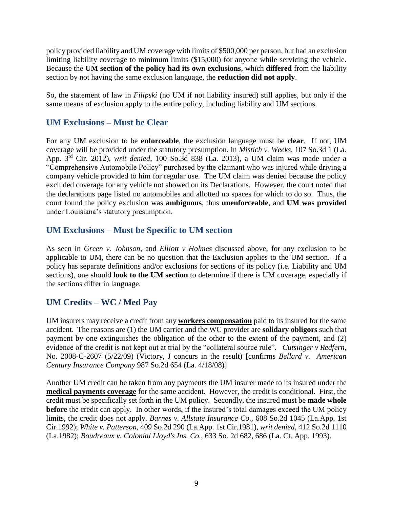policy provided liability and UM coverage with limits of \$500,000 per person, but had an exclusion limiting liability coverage to minimum limits (\$15,000) for anyone while servicing the vehicle. Because the **UM section of the policy had its own exclusions**, which **differed** from the liability section by not having the same exclusion language, the **reduction did not apply**.

So, the statement of law in *Filipski* (no UM if not liability insured) still applies, but only if the same means of exclusion apply to the entire policy, including liability and UM sections.

#### **UM Exclusions – Must be Clear**

For any UM exclusion to be **enforceable**, the exclusion language must be **clear**. If not, UM coverage will be provided under the statutory presumption. In *Mistich v. Weeks*, 107 So.3d 1 (La. App. 3rd Cir. 2012), *writ denied*, 100 So.3d 838 (La. 2013), a UM claim was made under a "Comprehensive Automobile Policy" purchased by the claimant who was injured while driving a company vehicle provided to him for regular use. The UM claim was denied because the policy excluded coverage for any vehicle not showed on its Declarations. However, the court noted that the declarations page listed no automobiles and allotted no spaces for which to do so. Thus, the court found the policy exclusion was **ambiguous**, thus **unenforceable**, and **UM was provided** under Louisiana's statutory presumption.

#### **UM Exclusions – Must be Specific to UM section**

As seen in *Green v. Johnson,* and *Elliott v Holmes* discussed above, for any exclusion to be applicable to UM, there can be no question that the Exclusion applies to the UM section. If a policy has separate definitions and/or exclusions for sections of its policy (i.e. Liability and UM sections), one should **look to the UM section** to determine if there is UM coverage, especially if the sections differ in language.

### **UM Credits – WC / Med Pay**

UM insurers may receive a credit from any **workers compensation** paid to its insured for the same accident. The reasons are (1) the UM carrier and the WC provider are **solidary obligors** such that payment by one extinguishes the obligation of the other to the extent of the payment, and (2) evidence of the credit is not kept out at trial by the "collateral source rule". *Cutsinger v Redfern*, No. 2008-C-2607 (5/22/09) (Victory, J concurs in the result) [confirms *Bellard v. American Century Insurance Company* 987 So.2d 654 (La. 4/18/08)]

Another UM credit can be taken from any payments the UM insurer made to its insured under the **medical payments coverage** for the same accident. However, the credit is conditional. First, the credit must be specifically set forth in the UM policy. Secondly, the insured must be **made whole before** the credit can apply. In other words, if the insured's total damages exceed the UM policy limits, the credit does not apply. *Barnes v. Allstate Insurance Co.,* 608 So.2d 1045 (La.App. 1st Cir.1992); *White v. Patterson,* 409 So.2d 290 (La.App. 1st Cir.1981), *writ denied,* 412 So.2d 1110 (La.1982); *Boudreaux v. Colonial Lloyd's Ins. Co.*, 633 So. 2d 682, 686 (La. Ct. App. 1993).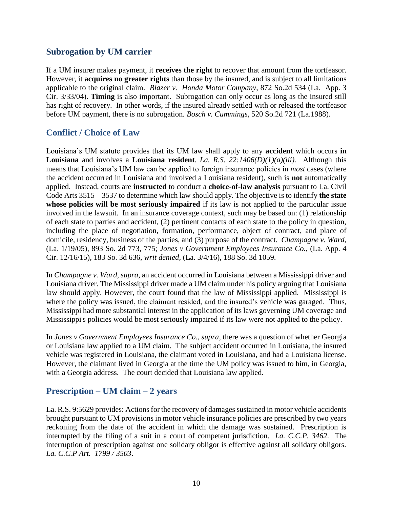#### **Subrogation by UM carrier**

If a UM insurer makes payment, it **receives the right** to recover that amount from the tortfeasor. However, it **acquires no greater rights** than those by the insured, and is subject to all limitations applicable to the original claim. *Blazer v. Honda Motor Company*, 872 So.2d 534 (La. App. 3 Cir. 3/33/04). **Timing** is also important. Subrogation can only occur as long as the insured still has right of recovery. In other words, if the insured already settled with or released the tortfeasor before UM payment, there is no subrogation. *Bosch v. Cummings,* 520 So.2d 721 (La.1988).

#### **Conflict / Choice of Law**

Louisiana's UM statute provides that its UM law shall apply to any **accident** which occurs **in Louisiana** and involves a **Louisiana resident**. *La. R.S. 22:1406(D)(1)(a)(iii).* Although this means that Louisiana's UM law can be applied to foreign insurance policies in *most* cases (where the accident occurred in Louisiana and involved a Louisiana resident), such is **not** automatically applied. Instead, courts are **instructed** to conduct a **choice-of-law analysis** pursuant to La. Civil Code Arts 3515 – 3537 to determine which law should apply. The objective is to identify **the state whose policies will be most seriously impaired** if its law is not applied to the particular issue involved in the lawsuit. In an insurance coverage context, such may be based on: (1) relationship of each state to parties and accident, (2) pertinent contacts of each state to the policy in question, including the place of negotiation, formation, performance, object of contract, and place of domicile, residency, business of the parties, and (3) purpose of the contract. *Champagne v. Ward*, (La. 1/19/05), 893 So. 2d 773, 775; *Jones v Government Employees Insurance Co.*, (La. App. 4 Cir. 12/16/15), 183 So. 3d 636, *writ denied,* (La. 3/4/16), 188 So. 3d 1059.

In *Champagne v. Ward*, *supra*, an accident occurred in Louisiana between a Mississippi driver and Louisiana driver. The Mississippi driver made a UM claim under his policy arguing that Louisiana law should apply. However, the court found that the law of Mississippi applied. Mississippi is where the policy was issued, the claimant resided, and the insured's vehicle was garaged. Thus, Mississippi had more substantial interest in the application of its laws governing UM coverage and Mississippi's policies would be most seriously impaired if its law were not applied to the policy.

In *Jones v Government Employees Insurance Co., supra,* there was a question of whether Georgia or Louisiana law applied to a UM claim. The subject accident occurred in Louisiana, the insured vehicle was registered in Louisiana, the claimant voted in Louisiana, and had a Louisiana license. However, the claimant lived in Georgia at the time the UM policy was issued to him, in Georgia, with a Georgia address. The court decided that Louisiana law applied.

#### **Prescription – UM claim – 2 years**

La. R.S. 9:5629 provides: Actions for the recovery of damages sustained in motor vehicle accidents brought pursuant to UM provisions in motor vehicle insurance policies are prescribed by two years reckoning from the date of the accident in which the damage was sustained. Prescription is interrupted by the filing of a suit in a court of competent jurisdiction. *La. C.C.P. 3462*. The interruption of prescription against one solidary obligor is effective against all solidary obligors. *La. C.C.P Art. 1799 / 3503*.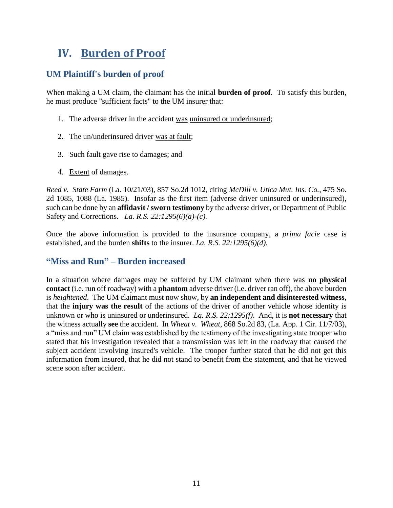## <span id="page-12-0"></span>**IV. Burden of Proof**

#### **UM Plaintiff's burden of proof**

When making a UM claim, the claimant has the initial **burden of proof**. To satisfy this burden, he must produce "sufficient facts" to the UM insurer that:

- 1. The adverse driver in the accident was uninsured or underinsured;
- 2. The un/underinsured driver was at fault;
- 3. Such fault gave rise to damages; and
- 4. Extent of damages.

*Reed v. State Farm* (La. 10/21/03), 857 So.2d 1012, citing *McDill v. Utica Mut. Ins. Co.*, 475 So. 2d 1085, 1088 (La. 1985). Insofar as the first item (adverse driver uninsured or underinsured), such can be done by an **affidavit / sworn testimony** by the adverse driver, or Department of Public Safety and Corrections. *La. R.S. 22:1295(6)(a)-(c).* 

Once the above information is provided to the insurance company, a *prima facie* case is established, and the burden **shifts** to the insurer. *La. R.S. 22:1295(6)(d).* 

#### **"Miss and Run" – Burden increased**

In a situation where damages may be suffered by UM claimant when there was **no physical contact** (i.e. run off roadway) with a **phantom** adverse driver (i.e. driver ran off), the above burden is *heightened*. The UM claimant must now show, by **an independent and disinterested witness**, that the **injury was the result** of the actions of the driver of another vehicle whose identity is unknown or who is uninsured or underinsured. *La. R.S. 22:1295(f)*. And, it is **not necessary** that the witness actually **see** the accident. In *Wheat v. Wheat,* 868 So.2d 83, (La. App. 1 Cir. 11/7/03), a "miss and run" UM claim was established by the testimony of the investigating state trooper who stated that his investigation revealed that a transmission was left in the roadway that caused the subject accident involving insured's vehicle. The trooper further stated that he did not get this information from insured, that he did not stand to benefit from the statement, and that he viewed scene soon after accident.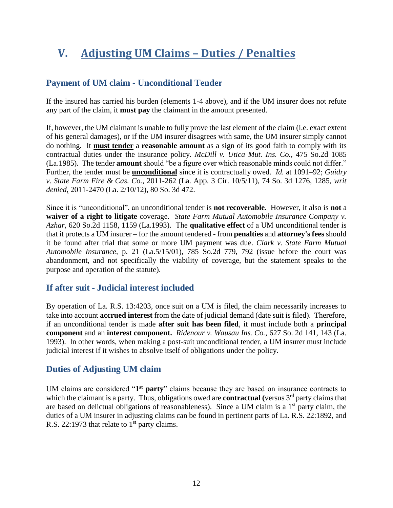## <span id="page-13-0"></span>**V. Adjusting UM Claims – Duties / Penalties**

### **Payment of UM claim - Unconditional Tender**

If the insured has carried his burden (elements 1-4 above), and if the UM insurer does not refute any part of the claim, it **must pay** the claimant in the amount presented.

If, however, the UM claimant is unable to fully prove the last element of the claim (i.e. exact extent of his general damages), or if the UM insurer disagrees with same, the UM insurer simply cannot do nothing. It **must tender** a **reasonable amount** as a sign of its good faith to comply with its contractual duties under the insurance policy. *McDill v. Utica Mut. Ins. Co.,* 475 So.2d 1085 (La.1985). The tender **amount** should "be a figure over which reasonable minds could not differ." Further, the tender must be **unconditional** since it is contractually owed. *Id.* at 1091–92; *Guidry v. State Farm Fire & Cas. Co.*, 2011-262 (La. App. 3 Cir. 10/5/11), 74 So. 3d 1276, 1285, *writ denied*, 2011-2470 (La. 2/10/12), 80 So. 3d 472.

Since it is "unconditional", an unconditional tender is **not recoverable**. However, it also is **not** a **waiver of a right to litigate** coverage. *State Farm Mutual Automobile Insurance Company v. Azhar,* 620 So.2d 1158, 1159 (La.1993). The **qualitative effect** of a UM unconditional tender is that it protects a UM insurer – for the amount tendered - from **penalties** and **attorney's fees** should it be found after trial that some or more UM payment was due. *Clark v. State Farm Mutual Automobile Insurance,* p. 21 (La.5/15/01), 785 So.2d 779, 792 (issue before the court was abandonment, and not specifically the viability of coverage, but the statement speaks to the purpose and operation of the statute).

#### **If after suit - Judicial interest included**

By operation of La. R.S. 13:4203, once suit on a UM is filed, the claim necessarily increases to take into account **accrued interest** from the date of judicial demand (date suit is filed). Therefore, if an unconditional tender is made **after suit has been filed**, it must include both a **principal component** and an **interest component.** *Ridenour v. Wausau Ins. Co.*, 627 So. 2d 141, 143 (La. 1993). In other words, when making a post-suit unconditional tender, a UM insurer must include judicial interest if it wishes to absolve itself of obligations under the policy.

#### **Duties of Adjusting UM claim**

UM claims are considered "1<sup>st</sup> party" claims because they are based on insurance contracts to which the claimant is a party. Thus, obligations owed are **contractual** (versus 3<sup>rd</sup> party claims that are based on delictual obligations of reasonableness). Since a UM claim is a  $1<sup>st</sup>$  party claim, the duties of a UM insurer in adjusting claims can be found in pertinent parts of La. R.S. 22:1892, and R.S. 22:1973 that relate to  $1<sup>st</sup>$  party claims.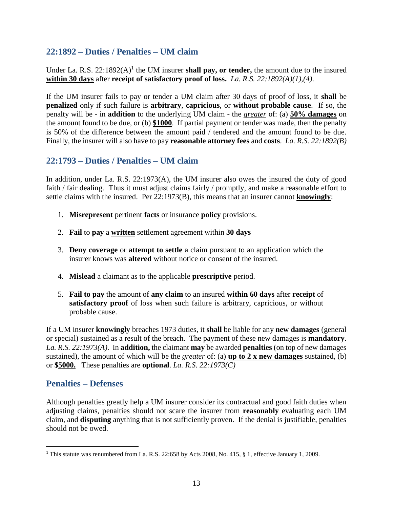#### **22:1892 – Duties / Penalties – UM claim**

Under La. R.S.  $22:1892(A)^1$  the UM insurer **shall pay, or tender,** the amount due to the insured **within 30 days** after **receipt of satisfactory proof of loss.** *La. R.S. 22:1892(A)(1),(4)*.

If the UM insurer fails to pay or tender a UM claim after 30 days of proof of loss, it **shall** be **penalized** only if such failure is **arbitrary**, **capricious**, or **without probable cause**. If so, the penalty will be - in **addition** to the underlying UM claim - the *greater* of: (a) **50% damages** on the amount found to be due, or (b) **\$1000**. If partial payment or tender was made, then the penalty is 50% of the difference between the amount paid / tendered and the amount found to be due. Finally, the insurer will also have to pay **reasonable attorney fees** and **costs**.*La. R.S. 22:1892(B)*

#### **22:1793 – Duties / Penalties – UM claim**

In addition, under La. R.S. 22:1973(A), the UM insurer also owes the insured the duty of good faith / fair dealing. Thus it must adjust claims fairly / promptly, and make a reasonable effort to settle claims with the insured. Per 22:1973(B), this means that an insurer cannot **knowingly**:

- 1. **Misrepresent** pertinent **facts** or insurance **policy** provisions.
- 2. **Fail** to **pay** a **written** settlement agreement within **30 days**
- 3. **Deny coverage** or **attempt to settle** a claim pursuant to an application which the insurer knows was **altered** without notice or consent of the insured.
- 4. **Mislead** a claimant as to the applicable **prescriptive** period.
- 5. **Fail to pay** the amount of **any claim** to an insured **within 60 days** after **receipt** of **satisfactory proof** of loss when such failure is arbitrary, capricious, or without probable cause.

If a UM insurer **knowingly** breaches 1973 duties, it **shall** be liable for any **new damages** (general or special) sustained as a result of the breach. The payment of these new damages is **mandatory**. *La. R.S. 22:1973(A)*. In **addition,** the claimant **may** be awarded **penalties** (on top of new damages sustained), the amount of which will be the *greater* of: (a) **up to 2 x new damages** sustained, (b) or **\$5000.** These penalties are **optional**. *La. R.S. 22:1973(C)*

#### **Penalties – Defenses**

 $\overline{a}$ 

Although penalties greatly help a UM insurer consider its contractual and good faith duties when adjusting claims, penalties should not scare the insurer from **reasonably** evaluating each UM claim, and **disputing** anything that is not sufficiently proven. If the denial is justifiable, penalties should not be owed.

<sup>1</sup> This statute was renumbered from La. R.S. 22:658 by Acts 2008, No. 415, § 1, effective January 1, 2009.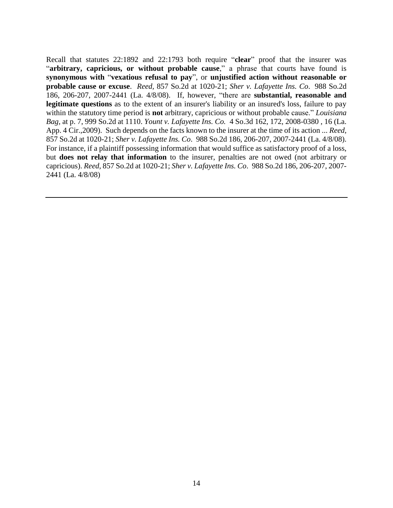Recall that statutes 22:1892 and 22:1793 both require "**clear**" proof that the insurer was "**arbitrary, capricious, or without probable cause**," a phrase that courts have found is **synonymous with** "**vexatious refusal to pay**", or **unjustified action without reasonable or probable cause or excuse**. *Reed,* 857 So.2d at 1020-21; *Sher v. Lafayette Ins. Co*. 988 So.2d 186, 206-207, 2007-2441 (La. 4/8/08). If, however, "there are **substantial, reasonable and legitimate questions** as to the extent of an insurer's liability or an insured's loss, failure to pay within the statutory time period is **not** arbitrary, capricious or without probable cause." *Louisiana Bag,* at p. 7, 999 So.2d at 1110. *Yount v. Lafayette Ins. Co.* 4 So.3d 162, 172, 2008-0380 , 16 (La. App. 4 Cir.,2009). Such depends on the facts known to the insurer at the time of its action ... *Reed,* 857 So.2d at 1020-21; *Sher v. Lafayette Ins. Co*. 988 So.2d 186, 206-207, 2007-2441 (La. 4/8/08). For instance, if a plaintiff possessing information that would suffice as satisfactory proof of a loss, but **does not relay that information** to the insurer, penalties are not owed (not arbitrary or capricious). *Reed,* 857 So.2d at 1020-21; *Sher v. Lafayette Ins. Co*. 988 So.2d 186, 206-207, 2007- 2441 (La. 4/8/08)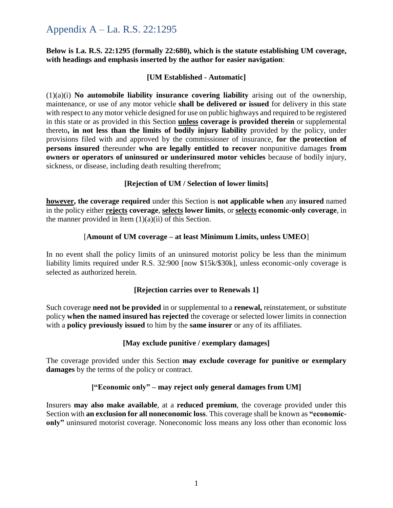### Appendix A – La. R.S. 22:1295

#### **Below is La. R.S. 22:1295 (formally 22:680), which is the statute establishing UM coverage, with headings and emphasis inserted by the author for easier navigation**:

#### **[UM Established - Automatic]**

(1)(a)(i) **No automobile liability insurance covering liability** arising out of the ownership, maintenance, or use of any motor vehicle **shall be delivered or issued** for delivery in this state with respect to any motor vehicle designed for use on public highways and required to be registered in this state or as provided in this Section **unless coverage is provided therein** or supplemental thereto**, in not less than the limits of bodily injury liability** provided by the policy, under provisions filed with and approved by the commissioner of insurance, **for the protection of persons insured** thereunder **who are legally entitled to recover** nonpunitive damages **from owners or operators of uninsured or underinsured motor vehicles** because of bodily injury, sickness, or disease, including death resulting therefrom;

#### **[Rejection of UM / Selection of lower limits]**

**however, the coverage required** under this Section is **not applicable when** any **insured** named in the policy either **rejects coverage**, **selects lower limits**, or **selects economic-only coverage**, in the manner provided in Item  $(1)(a)(ii)$  of this Section.

#### [**Amount of UM coverage – at least Minimum Limits, unless UMEO**]

In no event shall the policy limits of an uninsured motorist policy be less than the minimum liability limits required under R.S. 32:900 [now \$15k/\$30k], unless economic-only coverage is selected as authorized herein.

#### **[Rejection carries over to Renewals 1]**

Such coverage **need not be provided** in or supplemental to a **renewal,** reinstatement, or substitute policy **when the named insured has rejected** the coverage or selected lower limits in connection with a **policy previously issued** to him by the **same insurer** or any of its affiliates.

#### **[May exclude punitive / exemplary damages]**

The coverage provided under this Section **may exclude coverage for punitive or exemplary damages** by the terms of the policy or contract.

#### **["Economic only" – may reject only general damages from UM]**

Insurers **may also make available**, at a **reduced premium**, the coverage provided under this Section with **an exclusion for all noneconomic loss**. This coverage shall be known as **"economiconly"** uninsured motorist coverage. Noneconomic loss means any loss other than economic loss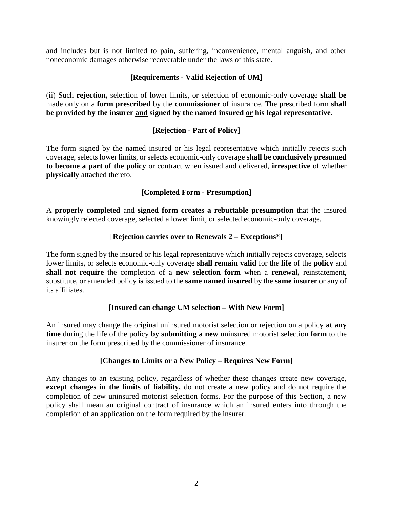and includes but is not limited to pain, suffering, inconvenience, mental anguish, and other noneconomic damages otherwise recoverable under the laws of this state.

#### **[Requirements - Valid Rejection of UM]**

(ii) Such **rejection,** selection of lower limits, or selection of economic-only coverage **shall be**  made only on a **form prescribed** by the **commissioner** of insurance. The prescribed form **shall be provided by the insurer and signed by the named insured or his legal representative**.

#### **[Rejection - Part of Policy]**

The form signed by the named insured or his legal representative which initially rejects such coverage, selects lower limits, or selects economic-only coverage **shall be conclusively presumed to become a part of the policy** or contract when issued and delivered, **irrespective** of whether **physically** attached thereto.

#### **[Completed Form - Presumption]**

A **properly completed** and **signed form creates a rebuttable presumption** that the insured knowingly rejected coverage, selected a lower limit, or selected economic-only coverage.

#### [**Rejection carries over to Renewals 2 – Exceptions\*]**

The form signed by the insured or his legal representative which initially rejects coverage, selects lower limits, or selects economic-only coverage **shall remain valid** for the **life** of the **policy** and **shall not require** the completion of a **new selection form** when a **renewal,** reinstatement, substitute, or amended policy **is** issued to the **same named insured** by the **same insurer** or any of its affiliates.

#### **[Insured can change UM selection – With New Form]**

An insured may change the original uninsured motorist selection or rejection on a policy **at any time** during the life of the policy **by submitting a new** uninsured motorist selection **form** to the insurer on the form prescribed by the commissioner of insurance.

#### **[Changes to Limits or a New Policy – Requires New Form]**

Any changes to an existing policy, regardless of whether these changes create new coverage, **except changes in the limits of liability,** do not create a new policy and do not require the completion of new uninsured motorist selection forms. For the purpose of this Section, a new policy shall mean an original contract of insurance which an insured enters into through the completion of an application on the form required by the insurer.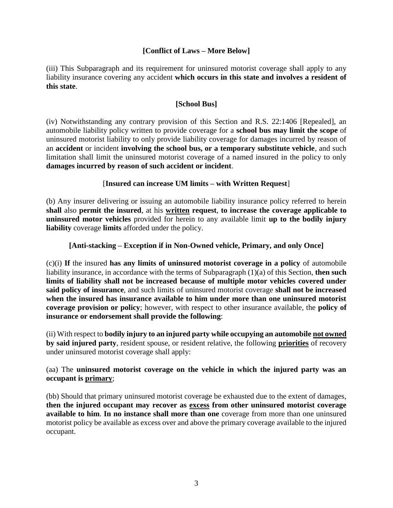#### **[Conflict of Laws – More Below]**

(iii) This Subparagraph and its requirement for uninsured motorist coverage shall apply to any liability insurance covering any accident **which occurs in this state and involves a resident of this state**.

#### **[School Bus]**

(iv) Notwithstanding any contrary provision of this Section and R.S. 22:1406 [Repealed], an automobile liability policy written to provide coverage for a **school bus may limit the scope** of uninsured motorist liability to only provide liability coverage for damages incurred by reason of an **accident** or incident **involving the school bus, or a temporary substitute vehicle**, and such limitation shall limit the uninsured motorist coverage of a named insured in the policy to only **damages incurred by reason of such accident or incident**.

#### [**Insured can increase UM limits – with Written Request**]

(b) Any insurer delivering or issuing an automobile liability insurance policy referred to herein **shall** also **permit the insured**, at his **written request**, **to increase the coverage applicable to uninsured motor vehicles** provided for herein to any available limit **up to the bodily injury liability** coverage **limits** afforded under the policy.

#### **[Anti-stacking – Exception if in Non-Owned vehicle, Primary, and only Once]**

(c)(i) **If** the insured **has any limits of uninsured motorist coverage in a policy** of automobile liability insurance, in accordance with the terms of Subparagraph (1)(a) of this Section, **then such limits of liability shall not be increased because of multiple motor vehicles covered under said policy of insurance**, and such limits of uninsured motorist coverage **shall not be increased when the insured has insurance available to him under more than one uninsured motorist coverage provision or policy**; however, with respect to other insurance available, the **policy of insurance or endorsement shall provide the following**:

(ii) With respect to **bodily injury to an injured party while occupying an automobile not owned by said injured party**, resident spouse, or resident relative, the following **priorities** of recovery under uninsured motorist coverage shall apply:

#### (aa) The **uninsured motorist coverage on the vehicle in which the injured party was an occupant is primary**;

(bb) Should that primary uninsured motorist coverage be exhausted due to the extent of damages, **then the injured occupant may recover as excess from other uninsured motorist coverage available to him**. **In no instance shall more than one** coverage from more than one uninsured motorist policy be available as excess over and above the primary coverage available to the injured occupant.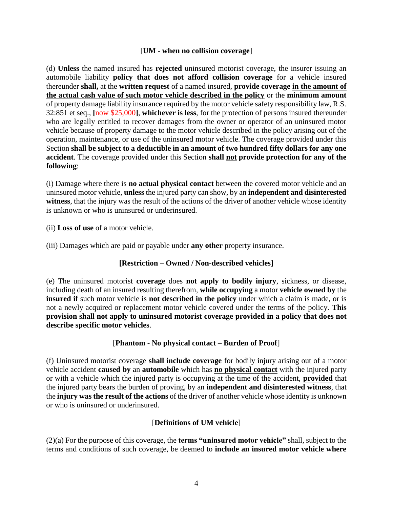#### [**UM - when no collision coverage**]

(d) **Unless** the named insured has **rejected** uninsured motorist coverage, the insurer issuing an automobile liability **policy that does not afford collision coverage** for a vehicle insured thereunder **shall,** at the **written request** of a named insured, **provide coverage in the amount of the actual cash value of such motor vehicle described in the policy** or the **minimum amount** of property damage liability insurance required by the motor vehicle safety responsibility law, R.S. 32:851 et seq., **[**now \$25,000**]**, **whichever is less**, for the protection of persons insured thereunder who are legally entitled to recover damages from the owner or operator of an uninsured motor vehicle because of property damage to the motor vehicle described in the policy arising out of the operation, maintenance, or use of the uninsured motor vehicle. The coverage provided under this Section **shall be subject to a deductible in an amount of two hundred fifty dollars for any one accident**. The coverage provided under this Section **shall not provide protection for any of the following**:

(i) Damage where there is **no actual physical contact** between the covered motor vehicle and an uninsured motor vehicle, **unless** the injured party can show, by an **independent and disinterested witness**, that the injury was the result of the actions of the driver of another vehicle whose identity is unknown or who is uninsured or underinsured.

(ii) **Loss of use** of a motor vehicle.

(iii) Damages which are paid or payable under **any other** property insurance.

#### **[Restriction – Owned / Non-described vehicles]**

(e) The uninsured motorist **coverage** does **not apply to bodily injury**, sickness, or disease, including death of an insured resulting therefrom, **while occupying** a motor **vehicle owned by** the **insured if** such motor vehicle is **not described in the policy** under which a claim is made, or is not a newly acquired or replacement motor vehicle covered under the terms of the policy. **This provision shall not apply to uninsured motorist coverage provided in a policy that does not describe specific motor vehicles**.

#### [**Phantom - No physical contact – Burden of Proof**]

(f) Uninsured motorist coverage **shall include coverage** for bodily injury arising out of a motor vehicle accident **caused by** an **automobile** which has **no physical contact** with the injured party or with a vehicle which the injured party is occupying at the time of the accident, **provided** that the injured party bears the burden of proving, by an **independent and disinterested witness**, that the **injury was the result of the actions** of the driver of another vehicle whose identity is unknown or who is uninsured or underinsured.

#### [**Definitions of UM vehicle**]

(2)(a) For the purpose of this coverage, the **terms "uninsured motor vehicle"** shall, subject to the terms and conditions of such coverage, be deemed to **include an insured motor vehicle where**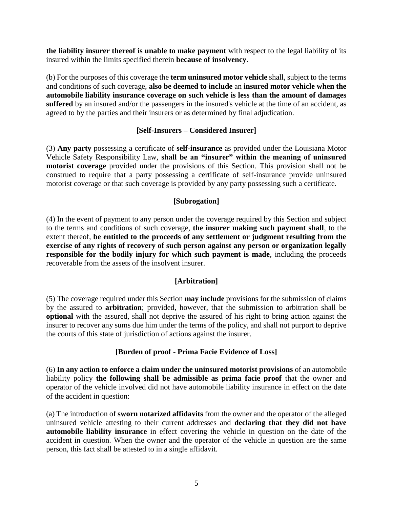**the liability insurer thereof is unable to make payment** with respect to the legal liability of its insured within the limits specified therein **because of insolvency**.

(b) For the purposes of this coverage the **term uninsured motor vehicle** shall, subject to the terms and conditions of such coverage, **also be deemed to include** an **insured motor vehicle when the automobile liability insurance coverage on such vehicle is less than the amount of damages suffered** by an insured and/or the passengers in the insured's vehicle at the time of an accident, as agreed to by the parties and their insurers or as determined by final adjudication.

#### **[Self-Insurers – Considered Insurer]**

(3) **Any party** possessing a certificate of **self-insurance** as provided under the Louisiana Motor Vehicle Safety Responsibility Law, **shall be an "insurer" within the meaning of uninsured motorist coverage** provided under the provisions of this Section. This provision shall not be construed to require that a party possessing a certificate of self-insurance provide uninsured motorist coverage or that such coverage is provided by any party possessing such a certificate.

#### **[Subrogation]**

(4) In the event of payment to any person under the coverage required by this Section and subject to the terms and conditions of such coverage, **the insurer making such payment shall**, to the extent thereof, **be entitled to the proceeds of any settlement or judgment resulting from the exercise of any rights of recovery of such person against any person or organization legally responsible for the bodily injury for which such payment is made**, including the proceeds recoverable from the assets of the insolvent insurer.

#### **[Arbitration]**

(5) The coverage required under this Section **may include** provisions for the submission of claims by the assured to **arbitration**; provided, however, that the submission to arbitration shall be **optional** with the assured, shall not deprive the assured of his right to bring action against the insurer to recover any sums due him under the terms of the policy, and shall not purport to deprive the courts of this state of jurisdiction of actions against the insurer.

#### **[Burden of proof - Prima Facie Evidence of Loss]**

(6) **In any action to enforce a claim under the uninsured motorist provisions** of an automobile liability policy **the following shall be admissible as prima facie proof** that the owner and operator of the vehicle involved did not have automobile liability insurance in effect on the date of the accident in question:

(a) The introduction of **sworn notarized affidavits** from the owner and the operator of the alleged uninsured vehicle attesting to their current addresses and **declaring that they did not have automobile liability insurance** in effect covering the vehicle in question on the date of the accident in question. When the owner and the operator of the vehicle in question are the same person, this fact shall be attested to in a single affidavit.